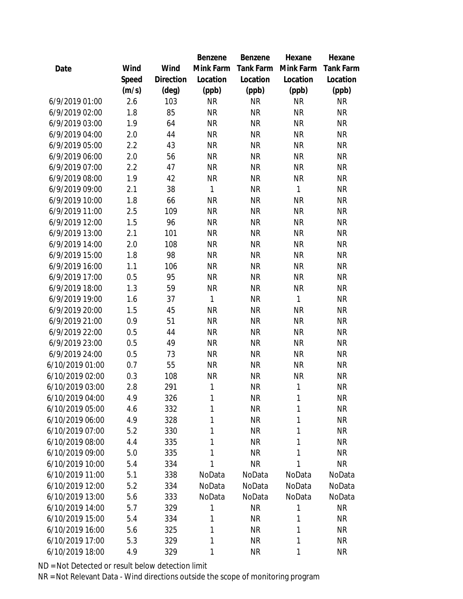|                 |       |                | Benzene      | Benzene   | Hexane       | Hexane    |
|-----------------|-------|----------------|--------------|-----------|--------------|-----------|
| Date            | Wind  | Wind           | Mink Farm    | Tank Farm | Mink Farm    | Tank Farm |
|                 | Speed | Direction      | Location     | Location  | Location     | Location  |
|                 | (m/s) | $(\text{deg})$ | (ppb)        | (ppb)     | (ppb)        | (ppb)     |
| 6/9/2019 01:00  | 2.6   | 103            | <b>NR</b>    | <b>NR</b> | <b>NR</b>    | <b>NR</b> |
| 6/9/2019 02:00  | 1.8   | 85             | <b>NR</b>    | <b>NR</b> | <b>NR</b>    | <b>NR</b> |
| 6/9/2019 03:00  | 1.9   | 64             | <b>NR</b>    | <b>NR</b> | <b>NR</b>    | <b>NR</b> |
| 6/9/2019 04:00  | 2.0   | 44             | <b>NR</b>    | <b>NR</b> | <b>NR</b>    | <b>NR</b> |
| 6/9/2019 05:00  | 2.2   | 43             | <b>NR</b>    | <b>NR</b> | <b>NR</b>    | <b>NR</b> |
| 6/9/2019 06:00  | 2.0   | 56             | <b>NR</b>    | <b>NR</b> | <b>NR</b>    | <b>NR</b> |
| 6/9/2019 07:00  | 2.2   | 47             | <b>NR</b>    | <b>NR</b> | <b>NR</b>    | <b>NR</b> |
| 6/9/2019 08:00  | 1.9   | 42             | <b>NR</b>    | <b>NR</b> | <b>NR</b>    | <b>NR</b> |
| 6/9/2019 09:00  | 2.1   | 38             | $\mathbf{1}$ | <b>NR</b> | $\mathbf{1}$ | <b>NR</b> |
| 6/9/2019 10:00  | 1.8   | 66             | <b>NR</b>    | <b>NR</b> | <b>NR</b>    | <b>NR</b> |
| 6/9/2019 11:00  | 2.5   | 109            | <b>NR</b>    | <b>NR</b> | <b>NR</b>    | <b>NR</b> |
| 6/9/2019 12:00  | 1.5   | 96             | <b>NR</b>    | <b>NR</b> | <b>NR</b>    | <b>NR</b> |
| 6/9/2019 13:00  | 2.1   | 101            | <b>NR</b>    | <b>NR</b> | <b>NR</b>    | <b>NR</b> |
| 6/9/2019 14:00  | 2.0   | 108            | <b>NR</b>    | <b>NR</b> | <b>NR</b>    | <b>NR</b> |
| 6/9/2019 15:00  | 1.8   | 98             | <b>NR</b>    | <b>NR</b> | <b>NR</b>    | <b>NR</b> |
| 6/9/2019 16:00  | 1.1   | 106            | <b>NR</b>    | <b>NR</b> | <b>NR</b>    | <b>NR</b> |
| 6/9/2019 17:00  | 0.5   | 95             | <b>NR</b>    | <b>NR</b> | <b>NR</b>    | <b>NR</b> |
| 6/9/2019 18:00  | 1.3   | 59             | <b>NR</b>    | <b>NR</b> | <b>NR</b>    | <b>NR</b> |
| 6/9/2019 19:00  | 1.6   | 37             | $\mathbf{1}$ | <b>NR</b> | $\mathbf{1}$ | <b>NR</b> |
| 6/9/2019 20:00  | 1.5   | 45             | <b>NR</b>    | <b>NR</b> | <b>NR</b>    | <b>NR</b> |
| 6/9/2019 21:00  | 0.9   | 51             | <b>NR</b>    | <b>NR</b> | <b>NR</b>    | <b>NR</b> |
| 6/9/2019 22:00  | 0.5   | 44             | <b>NR</b>    | <b>NR</b> | <b>NR</b>    | <b>NR</b> |
| 6/9/2019 23:00  | 0.5   | 49             | <b>NR</b>    | <b>NR</b> | <b>NR</b>    | <b>NR</b> |
| 6/9/2019 24:00  | 0.5   | 73             | <b>NR</b>    | <b>NR</b> | <b>NR</b>    | <b>NR</b> |
| 6/10/2019 01:00 | 0.7   | 55             | <b>NR</b>    | <b>NR</b> | <b>NR</b>    | <b>NR</b> |
| 6/10/2019 02:00 | 0.3   | 108            | <b>NR</b>    | <b>NR</b> | <b>NR</b>    | <b>NR</b> |
| 6/10/2019 03:00 | 2.8   | 291            | 1            | <b>NR</b> | 1            | <b>NR</b> |
| 6/10/2019 04:00 | 4.9   | 326            | 1            | <b>NR</b> | 1            | <b>NR</b> |
| 6/10/2019 05:00 | 4.6   | 332            | 1            | <b>NR</b> | 1            | <b>NR</b> |
| 6/10/2019 06:00 | 4.9   | 328            | 1            | <b>NR</b> | 1            | <b>NR</b> |
| 6/10/2019 07:00 | 5.2   | 330            | 1            | <b>NR</b> | 1            | <b>NR</b> |
| 6/10/2019 08:00 | 4.4   | 335            | 1            | <b>NR</b> | 1            | <b>NR</b> |
| 6/10/2019 09:00 | 5.0   | 335            | 1            | <b>NR</b> | 1            | <b>NR</b> |
| 6/10/2019 10:00 | 5.4   | 334            | 1            | <b>NR</b> | 1            | <b>NR</b> |
| 6/10/2019 11:00 | 5.1   | 338            | NoData       | NoData    | NoData       | NoData    |
| 6/10/2019 12:00 | 5.2   | 334            | NoData       | NoData    | NoData       | NoData    |
| 6/10/2019 13:00 | 5.6   | 333            | NoData       | NoData    | NoData       | NoData    |
| 6/10/2019 14:00 | 5.7   | 329            | 1            | <b>NR</b> | 1            | <b>NR</b> |
| 6/10/2019 15:00 | 5.4   | 334            | 1            | <b>NR</b> | 1            | <b>NR</b> |
| 6/10/2019 16:00 | 5.6   | 325            | 1            | <b>NR</b> | 1            | <b>NR</b> |
| 6/10/2019 17:00 | 5.3   | 329            | 1            | <b>NR</b> | 1            | <b>NR</b> |
| 6/10/2019 18:00 | 4.9   | 329            | 1            | <b>NR</b> | 1            | <b>NR</b> |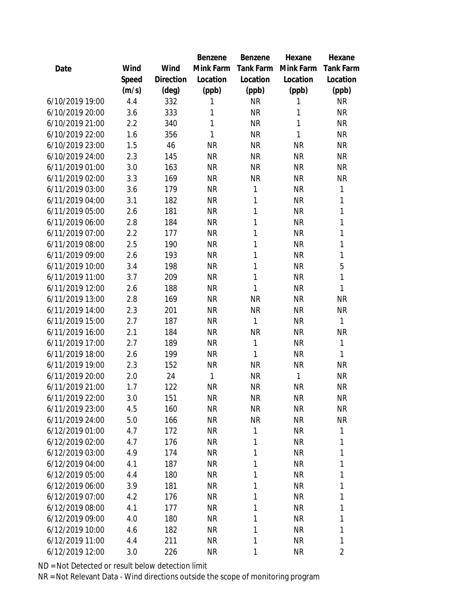|                 |       |                | Benzene   | Benzene   | Hexane    | Hexane         |
|-----------------|-------|----------------|-----------|-----------|-----------|----------------|
| Date            | Wind  | Wind           | Mink Farm | Tank Farm | Mink Farm | Tank Farm      |
|                 | Speed | Direction      | Location  | Location  | Location  | Location       |
|                 | (m/s) | $(\text{deg})$ | (ppb)     | (ppb)     | (ppb)     | (ppb)          |
| 6/10/2019 19:00 | 4.4   | 332            | 1         | <b>NR</b> | 1         | <b>NR</b>      |
| 6/10/2019 20:00 | 3.6   | 333            | 1         | <b>NR</b> | 1         | <b>NR</b>      |
| 6/10/2019 21:00 | 2.2   | 340            | 1         | <b>NR</b> | 1         | <b>NR</b>      |
| 6/10/2019 22:00 | 1.6   | 356            | 1         | <b>NR</b> | 1         | <b>NR</b>      |
| 6/10/2019 23:00 | 1.5   | 46             | <b>NR</b> | <b>NR</b> | <b>NR</b> | <b>NR</b>      |
| 6/10/2019 24:00 | 2.3   | 145            | <b>NR</b> | <b>NR</b> | <b>NR</b> | <b>NR</b>      |
| 6/11/2019 01:00 | 3.0   | 163            | <b>NR</b> | <b>NR</b> | <b>NR</b> | <b>NR</b>      |
| 6/11/2019 02:00 | 3.3   | 169            | <b>NR</b> | <b>NR</b> | <b>NR</b> | <b>NR</b>      |
| 6/11/2019 03:00 | 3.6   | 179            | <b>NR</b> | 1         | <b>NR</b> | 1              |
| 6/11/2019 04:00 | 3.1   | 182            | <b>NR</b> | 1         | <b>NR</b> | 1              |
| 6/11/2019 05:00 | 2.6   | 181            | <b>NR</b> | 1         | <b>NR</b> | 1              |
| 6/11/2019 06:00 | 2.8   | 184            | <b>NR</b> | 1         | <b>NR</b> | 1              |
| 6/11/2019 07:00 | 2.2   | 177            | <b>NR</b> | 1         | <b>NR</b> | 1              |
| 6/11/2019 08:00 | 2.5   | 190            | <b>NR</b> | 1         | <b>NR</b> | $\mathbf{1}$   |
| 6/11/2019 09:00 | 2.6   | 193            | <b>NR</b> | 1         | <b>NR</b> | 1              |
| 6/11/2019 10:00 | 3.4   | 198            | <b>NR</b> | 1         | <b>NR</b> | 5              |
| 6/11/2019 11:00 | 3.7   | 209            | <b>NR</b> | 1         | <b>NR</b> | $\mathbf{1}$   |
| 6/11/2019 12:00 | 2.6   | 188            | <b>NR</b> | 1         | <b>NR</b> | 1              |
| 6/11/2019 13:00 | 2.8   | 169            | <b>NR</b> | <b>NR</b> | <b>NR</b> | <b>NR</b>      |
| 6/11/2019 14:00 | 2.3   | 201            | <b>NR</b> | <b>NR</b> | <b>NR</b> | <b>NR</b>      |
| 6/11/2019 15:00 | 2.7   | 187            | <b>NR</b> | 1         | <b>NR</b> | $\mathbf{1}$   |
| 6/11/2019 16:00 | 2.1   | 184            | <b>NR</b> | <b>NR</b> | <b>NR</b> | NR             |
| 6/11/2019 17:00 | 2.7   | 189            | <b>NR</b> | 1         | <b>NR</b> | 1              |
| 6/11/2019 18:00 | 2.6   | 199            | <b>NR</b> | 1         | <b>NR</b> | 1              |
| 6/11/2019 19:00 | 2.3   | 152            | <b>NR</b> | <b>NR</b> | <b>NR</b> | <b>NR</b>      |
| 6/11/2019 20:00 | 2.0   | 24             | 1         | <b>NR</b> | 1         | <b>NR</b>      |
| 6/11/2019 21:00 | 1.7   | 122            | <b>NR</b> | <b>NR</b> | <b>NR</b> | <b>NR</b>      |
| 6/11/2019 22:00 | 3.0   | 151            | <b>NR</b> | <b>NR</b> | <b>NR</b> | <b>NR</b>      |
| 6/11/2019 23:00 | 4.5   | 160            | <b>NR</b> | <b>NR</b> | <b>NR</b> | <b>NR</b>      |
| 6/11/2019 24:00 | 5.0   | 166            | <b>NR</b> | <b>NR</b> | <b>NR</b> | <b>NR</b>      |
| 6/12/2019 01:00 | 4.7   | 172            | <b>NR</b> | 1         | <b>NR</b> | 1              |
| 6/12/2019 02:00 | 4.7   | 176            | <b>NR</b> | 1         | <b>NR</b> | 1              |
| 6/12/2019 03:00 | 4.9   | 174            | <b>NR</b> | 1         | <b>NR</b> | 1              |
| 6/12/2019 04:00 | 4.1   | 187            | <b>NR</b> | 1         | <b>NR</b> | 1              |
| 6/12/2019 05:00 | 4.4   | 180            | NR.       | 1         | <b>NR</b> | 1              |
| 6/12/2019 06:00 | 3.9   | 181            | <b>NR</b> | 1         | <b>NR</b> | 1              |
| 6/12/2019 07:00 | 4.2   | 176            | <b>NR</b> | 1         | <b>NR</b> | 1              |
| 6/12/2019 08:00 | 4.1   | 177            | <b>NR</b> | 1         | <b>NR</b> | 1              |
| 6/12/2019 09:00 | 4.0   | 180            | <b>NR</b> | 1         | <b>NR</b> | 1              |
| 6/12/2019 10:00 | 4.6   | 182            | NR        | 1         | <b>NR</b> | 1              |
| 6/12/2019 11:00 | 4.4   | 211            | <b>NR</b> | 1         | <b>NR</b> | 1              |
| 6/12/2019 12:00 | 3.0   | 226            | <b>NR</b> | 1         | <b>NR</b> | $\overline{2}$ |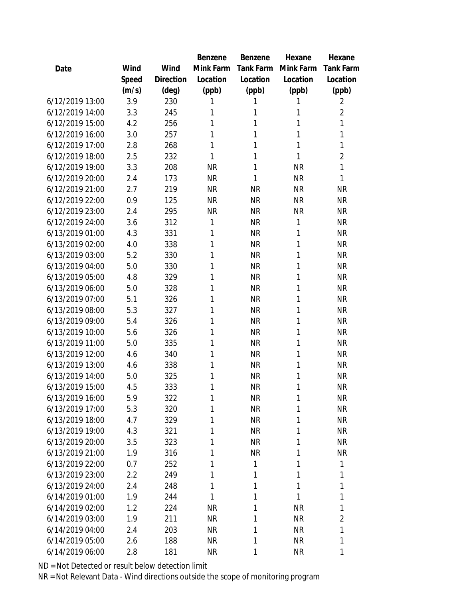|                 |       |                | Benzene   | Benzene   | Hexane    | Hexane         |
|-----------------|-------|----------------|-----------|-----------|-----------|----------------|
| Date            | Wind  | Wind           | Mink Farm | Tank Farm | Mink Farm | Tank Farm      |
|                 | Speed | Direction      | Location  | Location  | Location  | Location       |
|                 | (m/s) | $(\text{deg})$ | (ppb)     | (ppb)     | (ppb)     | (ppb)          |
| 6/12/2019 13:00 | 3.9   | 230            | 1         | 1         | 1         | $\overline{2}$ |
| 6/12/2019 14:00 | 3.3   | 245            | 1         | 1         | 1         | $\overline{2}$ |
| 6/12/2019 15:00 | 4.2   | 256            | 1         | 1         | 1         | 1              |
| 6/12/2019 16:00 | 3.0   | 257            | 1         | 1         | 1         | 1              |
| 6/12/2019 17:00 | 2.8   | 268            | 1         | 1         | 1         | 1              |
| 6/12/2019 18:00 | 2.5   | 232            | 1         | 1         | 1         | $\overline{2}$ |
| 6/12/2019 19:00 | 3.3   | 208            | <b>NR</b> | 1         | <b>NR</b> | 1              |
| 6/12/2019 20:00 | 2.4   | 173            | <b>NR</b> | 1         | <b>NR</b> | 1              |
| 6/12/2019 21:00 | 2.7   | 219            | <b>NR</b> | <b>NR</b> | <b>NR</b> | <b>NR</b>      |
| 6/12/2019 22:00 | 0.9   | 125            | <b>NR</b> | <b>NR</b> | <b>NR</b> | <b>NR</b>      |
| 6/12/2019 23:00 | 2.4   | 295            | <b>NR</b> | <b>NR</b> | <b>NR</b> | <b>NR</b>      |
| 6/12/2019 24:00 | 3.6   | 312            | 1         | <b>NR</b> | 1         | <b>NR</b>      |
| 6/13/2019 01:00 | 4.3   | 331            | 1         | <b>NR</b> | 1         | <b>NR</b>      |
| 6/13/2019 02:00 | 4.0   | 338            | 1         | <b>NR</b> | 1         | <b>NR</b>      |
| 6/13/2019 03:00 | 5.2   | 330            | 1         | <b>NR</b> | 1         | <b>NR</b>      |
| 6/13/2019 04:00 | 5.0   | 330            | 1         | <b>NR</b> | 1         | <b>NR</b>      |
| 6/13/2019 05:00 | 4.8   | 329            | 1         | <b>NR</b> | 1         | <b>NR</b>      |
| 6/13/2019 06:00 | 5.0   | 328            | 1         | <b>NR</b> | 1         | <b>NR</b>      |
| 6/13/2019 07:00 | 5.1   | 326            | 1         | <b>NR</b> | 1         | <b>NR</b>      |
| 6/13/2019 08:00 | 5.3   | 327            | 1         | <b>NR</b> | 1         | <b>NR</b>      |
| 6/13/2019 09:00 | 5.4   | 326            | 1         | <b>NR</b> | 1         | <b>NR</b>      |
| 6/13/2019 10:00 | 5.6   | 326            | 1         | <b>NR</b> | 1         | <b>NR</b>      |
| 6/13/2019 11:00 | 5.0   | 335            | 1         | <b>NR</b> | 1         | <b>NR</b>      |
| 6/13/2019 12:00 | 4.6   | 340            | 1         | <b>NR</b> | 1         | <b>NR</b>      |
| 6/13/2019 13:00 | 4.6   | 338            | 1         | <b>NR</b> | 1         | <b>NR</b>      |
| 6/13/2019 14:00 | 5.0   | 325            | 1         | <b>NR</b> | 1         | <b>NR</b>      |
| 6/13/2019 15:00 | 4.5   | 333            | 1         | <b>NR</b> | 1         | <b>NR</b>      |
| 6/13/2019 16:00 | 5.9   | 322            | 1         | <b>NR</b> | 1         | <b>NR</b>      |
| 6/13/2019 17:00 | 5.3   | 320            | 1         | <b>NR</b> | 1         | <b>NR</b>      |
| 6/13/2019 18:00 | 4.7   | 329            | 1         | <b>NR</b> | 1         | <b>NR</b>      |
| 6/13/2019 19:00 | 4.3   | 321            | 1         | <b>NR</b> | 1         | <b>NR</b>      |
| 6/13/2019 20:00 | 3.5   | 323            | 1         | <b>NR</b> | 1         | <b>NR</b>      |
| 6/13/2019 21:00 | 1.9   | 316            | 1         | <b>NR</b> | 1         | <b>NR</b>      |
| 6/13/2019 22:00 | 0.7   | 252            | 1         | 1         | 1         | 1              |
| 6/13/2019 23:00 | 2.2   | 249            | 1         | 1         | 1         | 1              |
| 6/13/2019 24:00 | 2.4   | 248            | 1         | 1         | 1         | 1              |
| 6/14/2019 01:00 | 1.9   | 244            | 1         | 1         | 1         | 1              |
| 6/14/2019 02:00 | 1.2   | 224            | <b>NR</b> | 1         | <b>NR</b> | 1              |
| 6/14/2019 03:00 | 1.9   | 211            | <b>NR</b> | 1         | <b>NR</b> | $\overline{2}$ |
| 6/14/2019 04:00 | 2.4   | 203            | <b>NR</b> | 1         | <b>NR</b> | 1              |
| 6/14/2019 05:00 | 2.6   | 188            | <b>NR</b> | 1         | <b>NR</b> | 1              |
| 6/14/2019 06:00 | 2.8   | 181            | <b>NR</b> | 1         | <b>NR</b> | 1              |